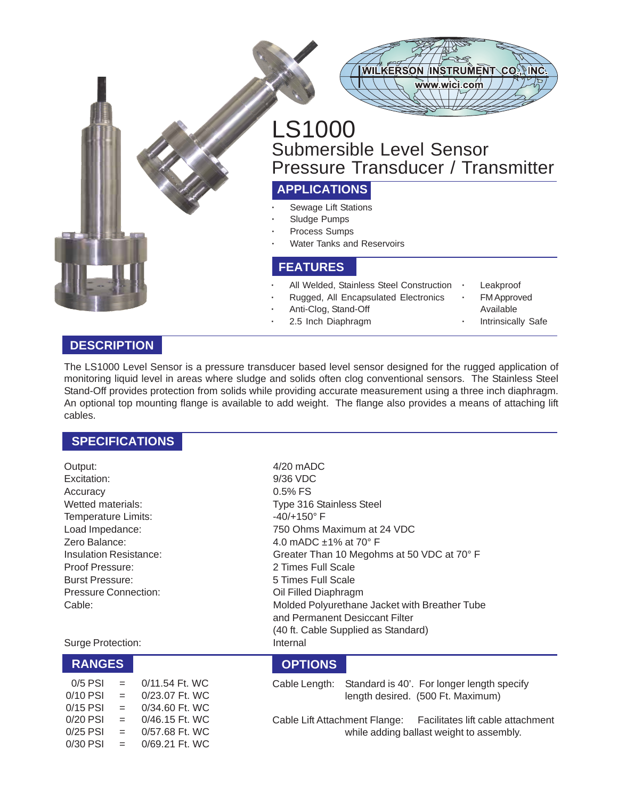



# LS1000 Submersible Level Sensor Pressure Transducer / Transmitter

# **APPLICATIONS**

- **·** Sewage Lift Stations
- **·** Sludge Pumps
- **·** Process Sumps
- **·** Water Tanks and Reservoirs

#### **FEATURES**

- **·** All Welded, Stainless Steel Construction **·** Leakproof
	- **·** Rugged, All Encapsulated Electronics **·** FM Approved
- Anti-Clog, Stand-Off **Available** Available
- **·** 2.5 Inch Diaphragm **·** Intrinsically Safe
- 
- 
- -

#### **DESCRIPTION**

The LS1000 Level Sensor is a pressure transducer based level sensor designed for the rugged application of monitoring liquid level in areas where sludge and solids often clog conventional sensors. The Stainless Steel Stand-Off provides protection from solids while providing accurate measurement using a three inch diaphragm. An optional top mounting flange is available to add weight. The flange also provides a means of attaching lift cables.

#### **SPECIFICATIONS**

Output: 4/20 mADC Excitation: 9/36 VDC Accuracy 0.5% FS Temperature Limits:  $-40/+150^\circ$  F Proof Pressure: 2 Times Full Scale Burst Pressure: 5 Times Full Scale Pressure Connection: Capacity Coll Filled Diaphragm

Surge Protection: Internal

| $0/5$ PSI  | $=$ | 0/11.54 Ft. WC |
|------------|-----|----------------|
| 0/10 PSI   | $=$ | 0/23.07 Ft. WC |
| 0/15 PSI   | $=$ | 0/34.60 Ft. WC |
| $0/20$ PSI | $=$ | 0/46.15 Ft. WC |
| 0/25 PSI   | $=$ | 0/57.68 Ft. WC |
| 0/30 PSI   | $=$ | 0/69.21 Ft. WC |

Wetted materials: Type 316 Stainless Steel Load Impedance: 750 Ohms Maximum at 24 VDC Zero Balance: 4.0 mADC ±1% at 70° F Insulation Resistance: Greater Than 10 Megohms at 50 VDC at 70° F Cable: Molded Polyurethane Jacket with Breather Tube and Permanent Desiccant Filter (40 ft. Cable Supplied as Standard)

### **RANGES OPTIONS**

Cable Length: Standard is 40'. For longer length specify length desired. (500 Ft. Maximum)

Cable Lift Attachment Flange: Facilitates lift cable attachment while adding ballast weight to assembly.